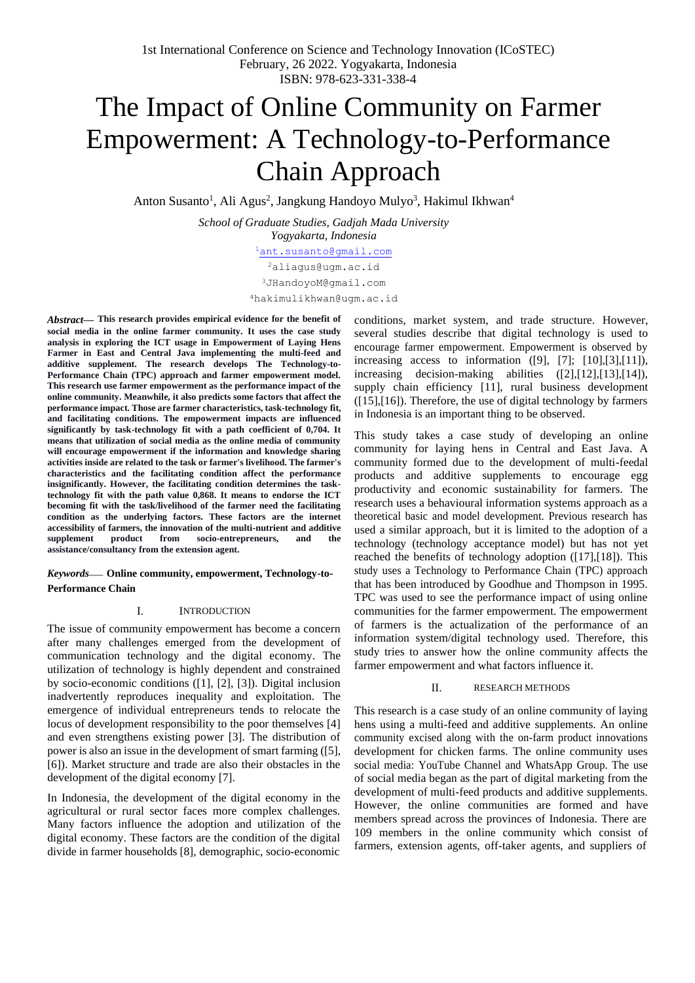# The Impact of Online Community on Farmer Empowerment: A Technology-to-Performance Chain Approach

Anton Susanto<sup>1</sup>, Ali Agus<sup>2</sup>, Jangkung Handoyo Mulyo<sup>3</sup>, Hakimul Ikhwan<sup>4</sup>

*School of Graduate Studies, Gadjah Mada University Yogyakarta, Indonesia* <sup>1</sup>[ant.susanto@gmail.com](mailto:ant.susanto@gmail.com) <sup>2</sup>[aliagus@ugm.ac.id](mailto:2aliagus@ugm.ac.id) [3](mailto:3JHandoyoM@gmail.com)[JHandoyoM@gmail.com](mailto:JHandoyoM@gmail.com)

[4](mailto:4hakimulikhwan@ugm.ac.id)[hakimulikhwan@ugm.ac.id](mailto:hakimulikhwan@ugm.ac.id)

*Abstract***— This research provides empirical evidence for the benefit of social media in the online farmer community. It uses the case study analysis in exploring the ICT usage in Empowerment of Laying Hens Farmer in East and Central Java implementing the multi-feed and additive supplement. The research develops The Technology-to-Performance Chain (TPC) approach and farmer empowerment model. This research use farmer empowerment as the performance impact of the online community. Meanwhile, it also predicts some factors that affect the performance impact. Those are farmer characteristics, task-technology fit, and facilitating conditions. The empowerment impacts are influenced significantly by task-technology fit with a path coefficient of 0,704. It means that utilization of social media as the online media of community will encourage empowerment if the information and knowledge sharing activities inside are related to the task or farmer's livelihood. The farmer's characteristics and the facilitating condition affect the performance insignificantly. However, the facilitating condition determines the tasktechnology fit with the path value 0,868. It means to endorse the ICT becoming fit with the task/livelihood of the farmer need the facilitating condition as the underlying factors. These factors are the internet accessibility of farmers, the innovation of the multi-nutrient and additive supplement product from socio-entrepreneurs, and the assistance/consultancy from the extension agent.**

*Keywords*— **Online community, empowerment, Technology-to-Performance Chain**

## I. INTRODUCTION

The issue of community empowerment has become a concern after many challenges emerged from the development of communication technology and the digital economy. The utilization of technology is highly dependent and constrained by socio-economic conditions ([1], [2], [3]). Digital inclusion inadvertently reproduces inequality and exploitation. The emergence of individual entrepreneurs tends to relocate the locus of development responsibility to the poor themselves [4] and even strengthens existing power [3]. The distribution of power is also an issue in the development of smart farming ([5], [6]). Market structure and trade are also their obstacles in the development of the digital economy [7].

In Indonesia, the development of the digital economy in the agricultural or rural sector faces more complex challenges. Many factors influence the adoption and utilization of the digital economy. These factors are the condition of the digital divide in farmer households [8], demographic, socio-economic

conditions, market system, and trade structure. However, several studies describe that digital technology is used to encourage farmer empowerment. Empowerment is observed by increasing access to information  $([9], [7]; [10], [3], [11]),$ increasing decision-making abilities ([2],[12],[13],[14]), supply chain efficiency [11], rural business development ([15],[16]). Therefore, the use of digital technology by farmers in Indonesia is an important thing to be observed.

This study takes a case study of developing an online community for laying hens in Central and East Java. A community formed due to the development of multi-feedal products and additive supplements to encourage egg productivity and economic sustainability for farmers. The research uses a behavioural information systems approach as a theoretical basic and model development. Previous research has used a similar approach, but it is limited to the adoption of a technology (technology acceptance model) but has not yet reached the benefits of technology adoption ([17],[18]). This study uses a Technology to Performance Chain (TPC) approach that has been introduced by Goodhue and Thompson in 1995. TPC was used to see the performance impact of using online communities for the farmer empowerment. The empowerment of farmers is the actualization of the performance of an information system/digital technology used. Therefore, this study tries to answer how the online community affects the farmer empowerment and what factors influence it.

## II. RESEARCH METHODS

This research is a case study of an online community of laying hens using a multi-feed and additive supplements. An online community excised along with the on-farm product innovations development for chicken farms. The online community uses social media: YouTube Channel and WhatsApp Group. The use of social media began as the part of digital marketing from the development of multi-feed products and additive supplements. However, the online communities are formed and have members spread across the provinces of Indonesia. There are 109 members in the online community which consist of farmers, extension agents, off-taker agents, and suppliers of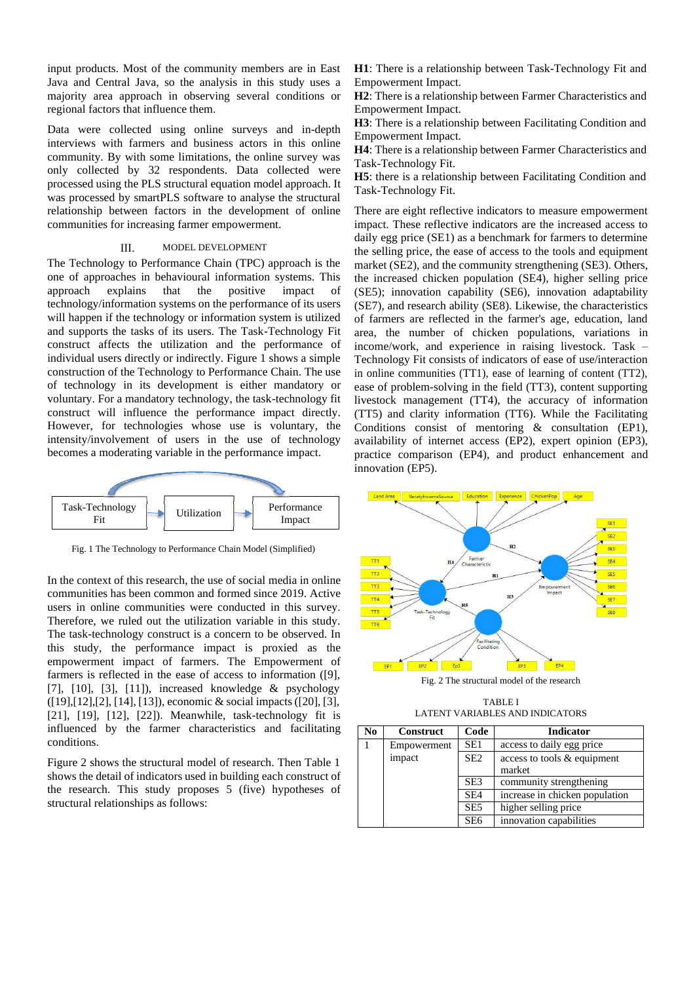input products. Most of the community members are in East Java and Central Java, so the analysis in this study uses a majority area approach in observing several conditions or regional factors that influence them.

Data were collected using online surveys and in-depth interviews with farmers and business actors in this online community. By with some limitations, the online survey was only collected by 32 respondents. Data collected were processed using the PLS structural equation model approach. It was processed by smartPLS software to analyse the structural relationship between factors in the development of online communities for increasing farmer empowerment.

## III. MODEL DEVELOPMENT

The Technology to Performance Chain (TPC) approach is the one of approaches in behavioural information systems. This approach explains that the positive impact of technology/information systems on the performance of its users will happen if the technology or information system is utilized and supports the tasks of its users. The Task-Technology Fit construct affects the utilization and the performance of individual users directly or indirectly. Figure 1 shows a simple construction of the Technology to Performance Chain. The use of technology in its development is either mandatory or voluntary. For a mandatory technology, the task-technology fit construct will influence the performance impact directly. However, for technologies whose use is voluntary, the intensity/involvement of users in the use of technology becomes a moderating variable in the performance impact.



Fig. 1 The Technology to Performance Chain Model (Simplified)

In the context of this research, the use of social media in online communities has been common and formed since 2019. Active users in online communities were conducted in this survey. Therefore, we ruled out the utilization variable in this study. The task-technology construct is a concern to be observed. In this study, the performance impact is proxied as the empowerment impact of farmers. The Empowerment of farmers is reflected in the ease of access to information ([9], [7], [10], [3], [11]), increased knowledge & psychology ([19],[12],[2], [14], [13]), economic & social impacts([20], [3], [21], [19], [12], [22]). Meanwhile, task-technology fit is influenced by the farmer characteristics and facilitating conditions.

Figure 2 shows the structural model of research. Then Table 1 shows the detail of indicators used in building each construct of the research. This study proposes 5 (five) hypotheses of structural relationships as follows:

**H1**: There is a relationship between Task-Technology Fit and Empowerment Impact.

**H2**: There is a relationship between Farmer Characteristics and Empowerment Impact.

**H3**: There is a relationship between Facilitating Condition and Empowerment Impact.

**H4**: There is a relationship between Farmer Characteristics and Task-Technology Fit.

**H5**: there is a relationship between Facilitating Condition and Task-Technology Fit.

There are eight reflective indicators to measure empowerment impact. These reflective indicators are the increased access to daily egg price (SE1) as a benchmark for farmers to determine the selling price, the ease of access to the tools and equipment market (SE2), and the community strengthening (SE3). Others, the increased chicken population (SE4), higher selling price (SE5); innovation capability (SE6), innovation adaptability (SE7), and research ability (SE8). Likewise, the characteristics of farmers are reflected in the farmer's age, education, land area, the number of chicken populations, variations in income/work, and experience in raising livestock. Task – Technology Fit consists of indicators of ease of use/interaction in online communities (TT1), ease of learning of content (TT2), ease of problem-solving in the field (TT3), content supporting livestock management (TT4), the accuracy of information (TT5) and clarity information (TT6). While the Facilitating Conditions consist of mentoring & consultation (EP1), availability of internet access (EP2), expert opinion (EP3), practice comparison (EP4), and product enhancement and innovation (EP5).



Fig. 2 The structural model of the research

TABLE I LATENT VARIABLES AND INDICATORS

| No | Construct   | Code            | <b>Indicator</b>               |
|----|-------------|-----------------|--------------------------------|
|    | Empowerment | SE1             | access to daily egg price      |
|    | impact      | SE <sub>2</sub> | access to tools & equipment    |
|    |             |                 | market                         |
|    |             | SE <sub>3</sub> | community strengthening        |
|    |             | SE <sub>4</sub> | increase in chicken population |
|    |             | SE <sub>5</sub> | higher selling price           |
|    |             | SE <sub>6</sub> | innovation capabilities        |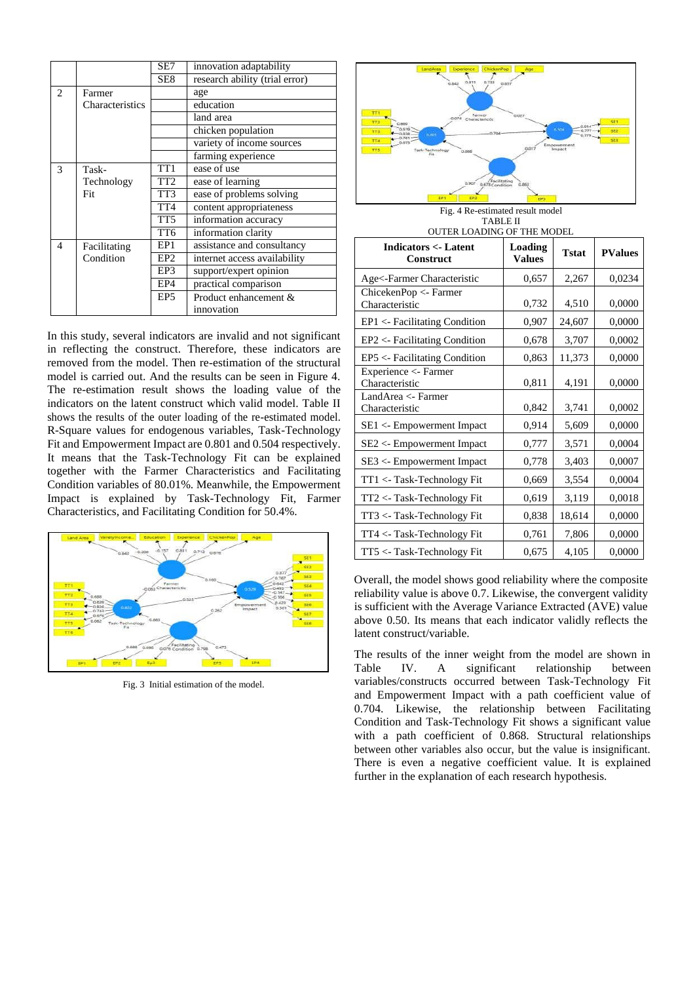|                |                 | SE7             | innovation adaptability        |  |  |
|----------------|-----------------|-----------------|--------------------------------|--|--|
|                |                 | SE8             | research ability (trial error) |  |  |
| $\overline{c}$ | Farmer          |                 | age                            |  |  |
|                | Characteristics |                 | education                      |  |  |
|                |                 |                 | land area                      |  |  |
|                |                 |                 | chicken population             |  |  |
|                |                 |                 | variety of income sources      |  |  |
|                |                 |                 | farming experience             |  |  |
| 3              | Task-           | TT <sub>1</sub> | ease of use                    |  |  |
|                | Technology      | TT <sub>2</sub> | ease of learning               |  |  |
|                | Fit             | TT3             | ease of problems solving       |  |  |
|                |                 | TT <sub>4</sub> | content appropriateness        |  |  |
|                |                 | TT5             | information accuracy           |  |  |
|                |                 |                 | information clarity            |  |  |
| 4              | Facilitating    | EP1             | assistance and consultancy     |  |  |
|                | Condition       | EP <sub>2</sub> | internet access availability   |  |  |
|                |                 | EP3             | support/expert opinion         |  |  |
|                |                 | EP4             | practical comparison           |  |  |
|                |                 | EP <sub>5</sub> | Product enhancement &          |  |  |
|                |                 |                 | innovation                     |  |  |

In this study, several indicators are invalid and not significant in reflecting the construct. Therefore, these indicators are removed from the model. Then re-estimation of the structural model is carried out. And the results can be seen in Figure 4. The re-estimation result shows the loading value of the indicators on the latent construct which valid model. Table II shows the results of the outer loading of the re-estimated model. R-Square values for endogenous variables, Task-Technology Fit and Empowerment Impact are 0.801 and 0.504 respectively. It means that the Task-Technology Fit can be explained together with the Farmer Characteristics and Facilitating Condition variables of 80.01%. Meanwhile, the Empowerment Impact is explained by Task-Technology Fit, Farmer Characteristics, and Facilitating Condition for 50.4%.



Fig. 3 Initial estimation of the model.



Fig. 4 Re-estimated result model TABLE II OUTER LOADING OF THE MODEL

| OUTER EOADING OF THE MODEL                         |                          |              |                |  |  |
|----------------------------------------------------|--------------------------|--------------|----------------|--|--|
| <b>Indicators &lt;- Latent</b><br><b>Construct</b> | Loading<br><b>Values</b> | <b>Tstat</b> | <b>PValues</b> |  |  |
| Age<-Farmer Characteristic                         | 0,657                    | 2,267        | 0,0234         |  |  |
| ChicekenPop <- Farmer<br>Characteristic            | 0,732                    | 4,510        | 0,0000         |  |  |
| EP1 <- Facilitating Condition                      | 0,907                    | 24,607       | 0,0000         |  |  |
| EP2 <- Facilitating Condition                      | 0,678                    | 3,707        | 0,0002         |  |  |
| EP5 <- Facilitating Condition                      | 0,863                    | 11,373       | 0,0000         |  |  |
| Experience <- Farmer<br>Characteristic             | 0,811                    | 4,191        | 0,0000         |  |  |
| LandArea <- Farmer<br>Characteristic               | 0,842                    | 3,741        | 0,0002         |  |  |
| SE1 <- Empowerment Impact                          | 0,914                    | 5,609        | 0,0000         |  |  |
| SE2 <- Empowerment Impact                          | 0,777                    | 3,571        | 0,0004         |  |  |
| SE3 <- Empowerment Impact                          | 0,778                    | 3,403        | 0,0007         |  |  |
| TT1 <- Task-Technology Fit                         | 0,669                    | 3,554        | 0,0004         |  |  |
| TT2 <- Task-Technology Fit                         | 0,619                    | 3,119        | 0,0018         |  |  |
| TT3 <- Task-Technology Fit                         | 0,838                    | 18,614       | 0,0000         |  |  |
| TT4 <- Task-Technology Fit                         | 0,761                    | 7,806        | 0,0000         |  |  |
| TT5 <- Task-Technology Fit                         | 0,675                    | 4,105        | 0,0000         |  |  |

Overall, the model shows good reliability where the composite reliability value is above 0.7. Likewise, the convergent validity is sufficient with the Average Variance Extracted (AVE) value above 0.50. Its means that each indicator validly reflects the latent construct/variable.

The results of the inner weight from the model are shown in Table IV. A significant relationship between variables/constructs occurred between Task-Technology Fit and Empowerment Impact with a path coefficient value of 0.704. Likewise, the relationship between Facilitating Condition and Task-Technology Fit shows a significant value with a path coefficient of 0.868. Structural relationships between other variables also occur, but the value is insignificant. There is even a negative coefficient value. It is explained further in the explanation of each research hypothesis.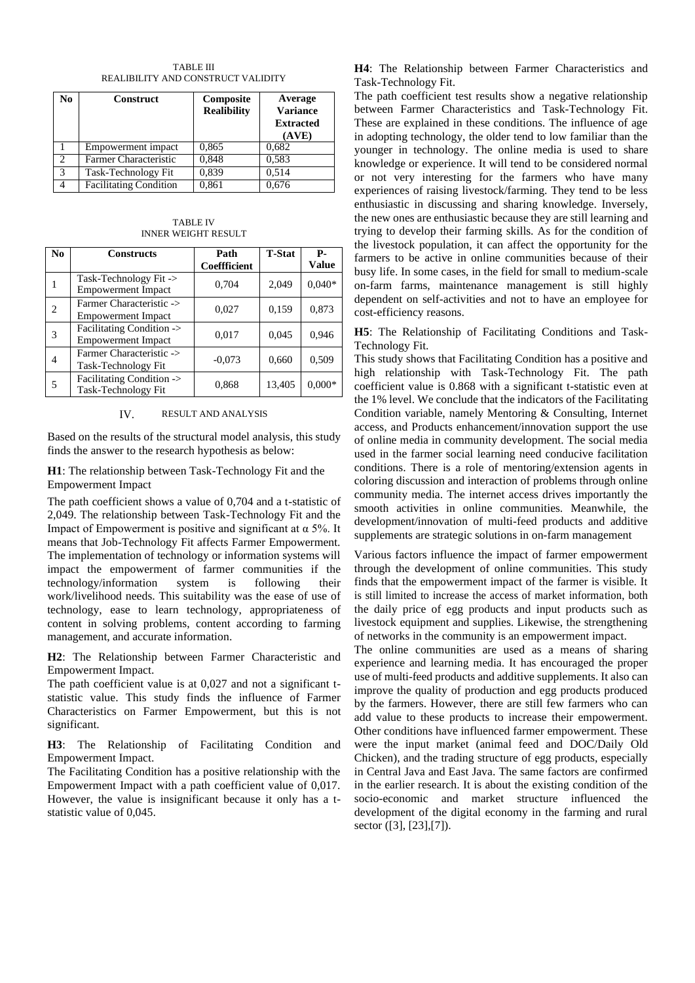TABLE III REALIBILITY AND CONSTRUCT VALIDITY

| No             | <b>Construct</b>              | Composite<br><b>Realibility</b> | Average<br><b>Variance</b><br><b>Extracted</b><br>(AVE) |
|----------------|-------------------------------|---------------------------------|---------------------------------------------------------|
|                | Empowerment impact            | 0,865                           | 0.682                                                   |
| $\mathfrak{D}$ | Farmer Characteristic         | 0,848                           | 0,583                                                   |
| 3              | Task-Technology Fit           | 0,839                           | 0,514                                                   |
|                | <b>Facilitating Condition</b> | 0,861                           | 0,676                                                   |

TABLE IV INNER WEIGHT RESULT

| N <sub>0</sub> | <b>Constructs</b>                                      | Path<br><b>Coeffficient</b> | <b>T-Stat</b> | р.<br><b>Value</b> |
|----------------|--------------------------------------------------------|-----------------------------|---------------|--------------------|
| 1              | Task-Technology Fit -><br><b>Empowerment Impact</b>    | 0,704                       | 2,049         | $0.040*$           |
| 2              | Farmer Characteristic -><br><b>Empowerment Impact</b>  | 0,027                       | 0,159         | 0,873              |
| 3              | Facilitating Condition -><br><b>Empowerment Impact</b> | 0,017                       | 0,045         | 0.946              |
| 4              | Farmer Characteristic -><br>Task-Technology Fit        | $-0.073$                    | 0,660         | 0,509              |
| 5              | Facilitating Condition -><br>Task-Technology Fit       | 0,868                       | 13,405        | $0,000*$           |

IV. RESULT AND ANALYSIS

Based on the results of the structural model analysis, this study finds the answer to the research hypothesis as below:

**H1**: The relationship between Task-Technology Fit and the Empowerment Impact

The path coefficient shows a value of 0,704 and a t-statistic of 2,049. The relationship between Task-Technology Fit and the Impact of Empowerment is positive and significant at  $\alpha$  5%. It means that Job-Technology Fit affects Farmer Empowerment. The implementation of technology or information systems will impact the empowerment of farmer communities if the technology/information system is following their work/livelihood needs. This suitability was the ease of use of technology, ease to learn technology, appropriateness of content in solving problems, content according to farming management, and accurate information.

**H2**: The Relationship between Farmer Characteristic and Empowerment Impact.

The path coefficient value is at 0,027 and not a significant tstatistic value. This study finds the influence of Farmer Characteristics on Farmer Empowerment, but this is not significant.

**H3**: The Relationship of Facilitating Condition and Empowerment Impact.

The Facilitating Condition has a positive relationship with the Empowerment Impact with a path coefficient value of 0,017. However, the value is insignificant because it only has a tstatistic value of 0,045.

**H4**: The Relationship between Farmer Characteristics and Task-Technology Fit.

The path coefficient test results show a negative relationship between Farmer Characteristics and Task-Technology Fit. These are explained in these conditions. The influence of age in adopting technology, the older tend to low familiar than the younger in technology. The online media is used to share knowledge or experience. It will tend to be considered normal or not very interesting for the farmers who have many experiences of raising livestock/farming. They tend to be less enthusiastic in discussing and sharing knowledge. Inversely, the new ones are enthusiastic because they are still learning and trying to develop their farming skills. As for the condition of the livestock population, it can affect the opportunity for the farmers to be active in online communities because of their busy life. In some cases, in the field for small to medium-scale on-farm farms, maintenance management is still highly dependent on self-activities and not to have an employee for cost-efficiency reasons.

**H5**: The Relationship of Facilitating Conditions and Task-Technology Fit.

This study shows that Facilitating Condition has a positive and high relationship with Task-Technology Fit. The path coefficient value is 0.868 with a significant t-statistic even at the 1% level. We conclude that the indicators of the Facilitating Condition variable, namely Mentoring & Consulting, Internet access, and Products enhancement/innovation support the use of online media in community development. The social media used in the farmer social learning need conducive facilitation conditions. There is a role of mentoring/extension agents in coloring discussion and interaction of problems through online community media. The internet access drives importantly the smooth activities in online communities. Meanwhile, the development/innovation of multi-feed products and additive supplements are strategic solutions in on-farm management

Various factors influence the impact of farmer empowerment through the development of online communities. This study finds that the empowerment impact of the farmer is visible. It is still limited to increase the access of market information, both the daily price of egg products and input products such as livestock equipment and supplies. Likewise, the strengthening of networks in the community is an empowerment impact.

The online communities are used as a means of sharing experience and learning media. It has encouraged the proper use of multi-feed products and additive supplements. It also can improve the quality of production and egg products produced by the farmers. However, there are still few farmers who can add value to these products to increase their empowerment. Other conditions have influenced farmer empowerment. These were the input market (animal feed and DOC/Daily Old Chicken), and the trading structure of egg products, especially in Central Java and East Java. The same factors are confirmed in the earlier research. It is about the existing condition of the socio-economic and market structure influenced the development of the digital economy in the farming and rural sector ([3], [23],[7]).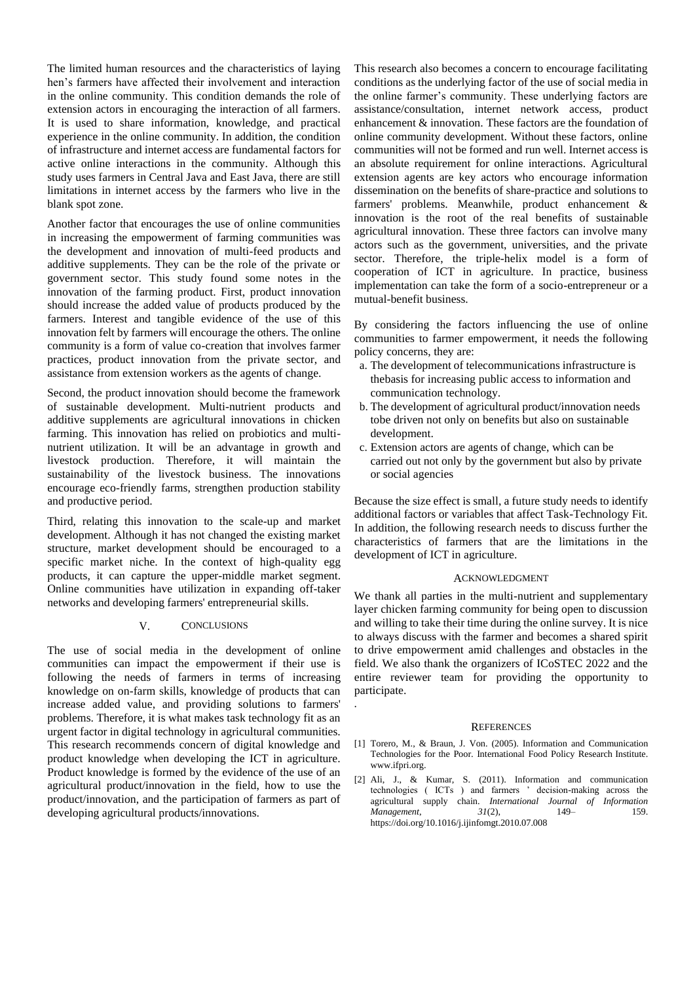The limited human resources and the characteristics of laying hen's farmers have affected their involvement and interaction in the online community. This condition demands the role of extension actors in encouraging the interaction of all farmers. It is used to share information, knowledge, and practical experience in the online community. In addition, the condition of infrastructure and internet access are fundamental factors for active online interactions in the community. Although this study uses farmers in Central Java and East Java, there are still limitations in internet access by the farmers who live in the blank spot zone.

Another factor that encourages the use of online communities in increasing the empowerment of farming communities was the development and innovation of multi-feed products and additive supplements. They can be the role of the private or government sector. This study found some notes in the innovation of the farming product. First, product innovation should increase the added value of products produced by the farmers. Interest and tangible evidence of the use of this innovation felt by farmers will encourage the others. The online community is a form of value co-creation that involves farmer practices, product innovation from the private sector, and assistance from extension workers as the agents of change.

Second, the product innovation should become the framework of sustainable development. Multi-nutrient products and additive supplements are agricultural innovations in chicken farming. This innovation has relied on probiotics and multinutrient utilization. It will be an advantage in growth and livestock production. Therefore, it will maintain the sustainability of the livestock business. The innovations encourage eco-friendly farms, strengthen production stability and productive period.

Third, relating this innovation to the scale-up and market development. Although it has not changed the existing market structure, market development should be encouraged to a specific market niche. In the context of high-quality egg products, it can capture the upper-middle market segment. Online communities have utilization in expanding off-taker networks and developing farmers' entrepreneurial skills.

## V. CONCLUSIONS

The use of social media in the development of online communities can impact the empowerment if their use is following the needs of farmers in terms of increasing knowledge on on-farm skills, knowledge of products that can increase added value, and providing solutions to farmers' problems. Therefore, it is what makes task technology fit as an urgent factor in digital technology in agricultural communities. This research recommends concern of digital knowledge and product knowledge when developing the ICT in agriculture. Product knowledge is formed by the evidence of the use of an agricultural product/innovation in the field, how to use the product/innovation, and the participation of farmers as part of developing agricultural products/innovations.

This research also becomes a concern to encourage facilitating conditions as the underlying factor of the use of social media in the online farmer's community. These underlying factors are assistance/consultation, internet network access, product enhancement & innovation. These factors are the foundation of online community development. Without these factors, online communities will not be formed and run well. Internet access is an absolute requirement for online interactions. Agricultural extension agents are key actors who encourage information dissemination on the benefits of share-practice and solutions to farmers' problems. Meanwhile, product enhancement & innovation is the root of the real benefits of sustainable agricultural innovation. These three factors can involve many actors such as the government, universities, and the private sector. Therefore, the triple-helix model is a form of cooperation of ICT in agriculture. In practice, business implementation can take the form of a socio-entrepreneur or a mutual-benefit business.

By considering the factors influencing the use of online communities to farmer empowerment, it needs the following policy concerns, they are:

- a. The development of telecommunications infrastructure is thebasis for increasing public access to information and communication technology.
- b. The development of agricultural product/innovation needs tobe driven not only on benefits but also on sustainable development.
- c. Extension actors are agents of change, which can be carried out not only by the government but also by private or social agencies

Because the size effect is small, a future study needs to identify additional factors or variables that affect Task-Technology Fit. In addition, the following research needs to discuss further the characteristics of farmers that are the limitations in the development of ICT in agriculture.

## ACKNOWLEDGMENT

We thank all parties in the multi-nutrient and supplementary layer chicken farming community for being open to discussion and willing to take their time during the online survey. It is nice to always discuss with the farmer and becomes a shared spirit to drive empowerment amid challenges and obstacles in the field. We also thank the organizers of ICoSTEC 2022 and the entire reviewer team for providing the opportunity to participate.

## **REFERENCES**

.

- [1] Torero, M., & Braun, J. Von. (2005). Information and Communication Technologies for the Poor. International Food Policy Research Institute. [www.ifpri.org.](http://www.ifpri.org/)
- [2] Ali, J., & Kumar, S. (2011). Information and communication technologies ( ICTs ) and farmers ' decision-making across the agricultural supply chain. *International Journal of Information Management*,  $\frac{31(2)}{2}$ , 149– https://doi.org/10.1016/j.ijinfomgt.2010.07.008